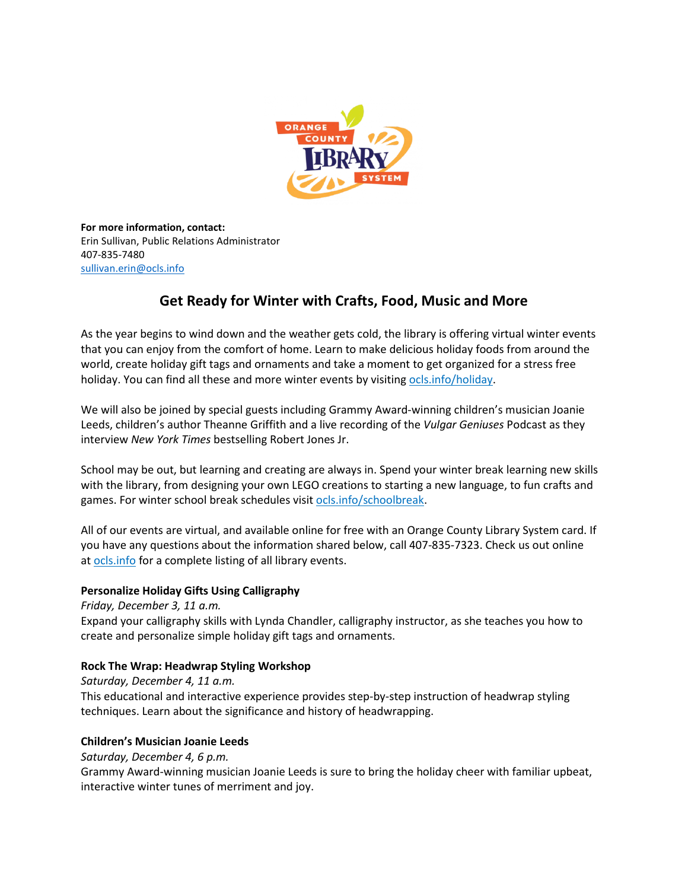

**For more information, contact:** Erin Sullivan, Public Relations Administrator 407-835-7480 [sullivan.erin@ocls.info](mailto:sullivan.erin@ocls.info)

# **Get Ready for Winter with Crafts, Food, Music and More**

As the year begins to wind down and the weather gets cold, the library is offering virtual winter events that you can enjoy from the comfort of home. Learn to make delicious holiday foods from around the world, create holiday gift tags and ornaments and take a moment to get organized for a stress free holiday. You can find all these and more winter events by visiting [ocls.info/holiday.](http://www.ocls.info/holiday)

We will also be joined by special guests including Grammy Award-winning children's musician Joanie Leeds, children's author Theanne Griffith and a live recording of the *Vulgar Geniuses* Podcast as they interview *New York Times* bestselling Robert Jones Jr.

School may be out, but learning and creating are always in. Spend your winter break learning new skills with the library, from designing your own LEGO creations to starting a new language, to fun crafts and games. For winter school break schedules visit [ocls.info/schoolbreak.](https://www.ocls.info/school-break)

All of our events are virtual, and available online for free with an Orange County Library System card. If you have any questions about the information shared below, call 407-835-7323. Check us out online at [ocls.info](http://www.ocls.info/) for a complete listing of all library events.

# **Personalize Holiday Gifts Using Calligraphy**

*Friday, December 3, 11 a.m.* Expand your calligraphy skills with Lynda Chandler, calligraphy instructor, as she teaches you how to create and personalize simple holiday gift tags and ornaments.

# **Rock The Wrap: Headwrap Styling Workshop**

*Saturday, December 4, 11 a.m.* This educational and interactive experience provides step-by-step instruction of headwrap styling techniques. Learn about the significance and history of headwrapping.

# **Children's Musician Joanie Leeds**

*Saturday, December 4, 6 p.m.*

Grammy Award-winning musician Joanie Leeds is sure to bring the holiday cheer with familiar upbeat, interactive winter tunes of merriment and joy.